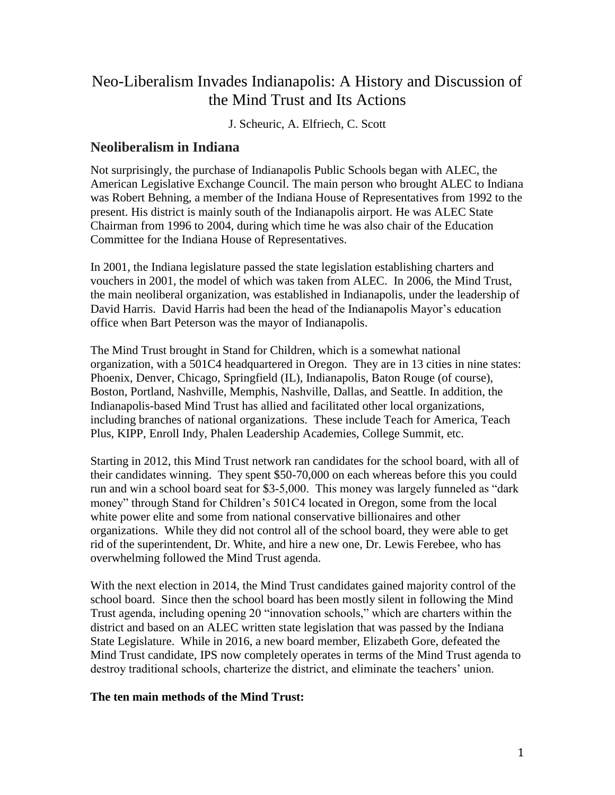# Neo-Liberalism Invades Indianapolis: A History and Discussion of the Mind Trust and Its Actions

J. Scheuric, A. Elfriech, C. Scott

## **Neoliberalism in Indiana**

Not surprisingly, the purchase of Indianapolis Public Schools began with ALEC, the American Legislative Exchange Council. The main person who brought ALEC to Indiana was Robert Behning, a member of the Indiana House of Representatives from 1992 to the present. His district is mainly south of the Indianapolis airport. He was ALEC State Chairman from 1996 to 2004, during which time he was also chair of the Education Committee for the Indiana House of Representatives.

In 2001, the Indiana legislature passed the state legislation establishing charters and vouchers in 2001, the model of which was taken from ALEC. In 2006, the Mind Trust, the main neoliberal organization, was established in Indianapolis, under the leadership of David Harris. David Harris had been the head of the Indianapolis Mayor's education office when Bart Peterson was the mayor of Indianapolis.

The Mind Trust brought in Stand for Children, which is a somewhat national organization, with a 501C4 headquartered in Oregon. They are in 13 cities in nine states: Phoenix, Denver, Chicago, Springfield (IL), Indianapolis, Baton Rouge (of course), Boston, Portland, Nashville, Memphis, Nashville, Dallas, and Seattle. In addition, the Indianapolis-based Mind Trust has allied and facilitated other local organizations, including branches of national organizations. These include Teach for America, Teach Plus, KIPP, Enroll Indy, Phalen Leadership Academies, College Summit, etc.

Starting in 2012, this Mind Trust network ran candidates for the school board, with all of their candidates winning. They spent \$50-70,000 on each whereas before this you could run and win a school board seat for \$3-5,000. This money was largely funneled as "dark money" through Stand for Children's 501C4 located in Oregon, some from the local white power elite and some from national conservative billionaires and other organizations. While they did not control all of the school board, they were able to get rid of the superintendent, Dr. White, and hire a new one, Dr. Lewis Ferebee, who has overwhelming followed the Mind Trust agenda.

With the next election in 2014, the Mind Trust candidates gained majority control of the school board. Since then the school board has been mostly silent in following the Mind Trust agenda, including opening 20 "innovation schools," which are charters within the district and based on an ALEC written state legislation that was passed by the Indiana State Legislature. While in 2016, a new board member, Elizabeth Gore, defeated the Mind Trust candidate, IPS now completely operates in terms of the Mind Trust agenda to destroy traditional schools, charterize the district, and eliminate the teachers' union.

## **The ten main methods of the Mind Trust:**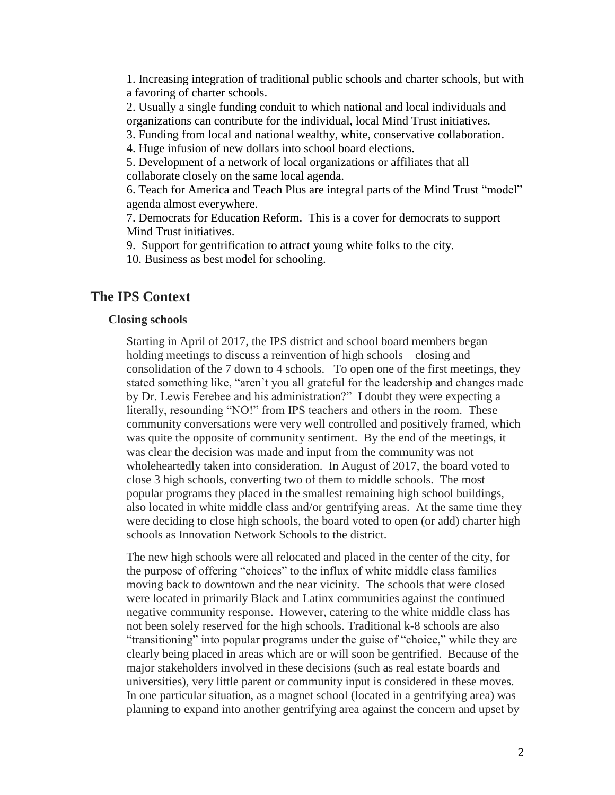1. Increasing integration of traditional public schools and charter schools, but with a favoring of charter schools.

2. Usually a single funding conduit to which national and local individuals and organizations can contribute for the individual, local Mind Trust initiatives.

3. Funding from local and national wealthy, white, conservative collaboration.

4. Huge infusion of new dollars into school board elections.

5. Development of a network of local organizations or affiliates that all collaborate closely on the same local agenda.

6. Teach for America and Teach Plus are integral parts of the Mind Trust "model" agenda almost everywhere.

7. Democrats for Education Reform. This is a cover for democrats to support Mind Trust initiatives.

9. Support for gentrification to attract young white folks to the city.

10. Business as best model for schooling.

## **The IPS Context**

### **Closing schools**

Starting in April of 2017, the IPS district and school board members began holding meetings to discuss a reinvention of high schools—closing and consolidation of the 7 down to 4 schools. To open one of the first meetings, they stated something like, "aren't you all grateful for the leadership and changes made by Dr. Lewis Ferebee and his administration?" I doubt they were expecting a literally, resounding "NO!" from IPS teachers and others in the room. These community conversations were very well controlled and positively framed, which was quite the opposite of community sentiment. By the end of the meetings, it was clear the decision was made and input from the community was not wholeheartedly taken into consideration. In August of 2017, the board voted to close 3 high schools, converting two of them to middle schools. The most popular programs they placed in the smallest remaining high school buildings, also located in white middle class and/or gentrifying areas. At the same time they were deciding to close high schools, the board voted to open (or add) charter high schools as Innovation Network Schools to the district.

The new high schools were all relocated and placed in the center of the city, for the purpose of offering "choices" to the influx of white middle class families moving back to downtown and the near vicinity. The schools that were closed were located in primarily Black and Latinx communities against the continued negative community response. However, catering to the white middle class has not been solely reserved for the high schools. Traditional k-8 schools are also "transitioning" into popular programs under the guise of "choice," while they are clearly being placed in areas which are or will soon be gentrified. Because of the major stakeholders involved in these decisions (such as real estate boards and universities), very little parent or community input is considered in these moves. In one particular situation, as a magnet school (located in a gentrifying area) was planning to expand into another gentrifying area against the concern and upset by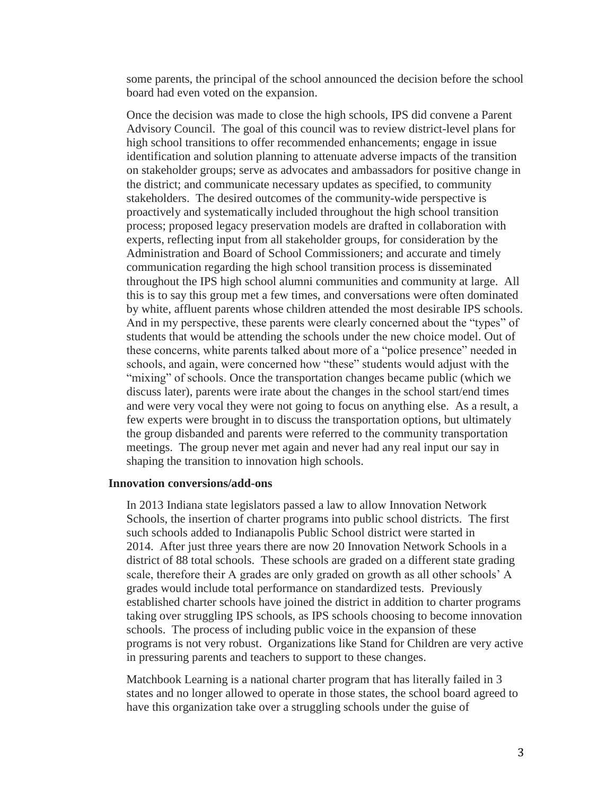some parents, the principal of the school announced the decision before the school board had even voted on the expansion.

Once the decision was made to close the high schools, IPS did convene a Parent Advisory Council. The goal of this council was to review district-level plans for high school transitions to offer recommended enhancements; engage in issue identification and solution planning to attenuate adverse impacts of the transition on stakeholder groups; serve as advocates and ambassadors for positive change in the district; and communicate necessary updates as specified, to community stakeholders. The desired outcomes of the community-wide perspective is proactively and systematically included throughout the high school transition process; proposed legacy preservation models are drafted in collaboration with experts, reflecting input from all stakeholder groups, for consideration by the Administration and Board of School Commissioners; and accurate and timely communication regarding the high school transition process is disseminated throughout the IPS high school alumni communities and community at large. All this is to say this group met a few times, and conversations were often dominated by white, affluent parents whose children attended the most desirable IPS schools. And in my perspective, these parents were clearly concerned about the "types" of students that would be attending the schools under the new choice model. Out of these concerns, white parents talked about more of a "police presence" needed in schools, and again, were concerned how "these" students would adjust with the "mixing" of schools. Once the transportation changes became public (which we discuss later), parents were irate about the changes in the school start/end times and were very vocal they were not going to focus on anything else. As a result, a few experts were brought in to discuss the transportation options, but ultimately the group disbanded and parents were referred to the community transportation meetings. The group never met again and never had any real input our say in shaping the transition to innovation high schools.

#### **Innovation conversions/add-ons**

In 2013 Indiana state legislators passed a law to allow Innovation Network Schools, the insertion of charter programs into public school districts. The first such schools added to Indianapolis Public School district were started in 2014. After just three years there are now 20 Innovation Network Schools in a district of 88 total schools. These schools are graded on a different state grading scale, therefore their A grades are only graded on growth as all other schools' A grades would include total performance on standardized tests. Previously established charter schools have joined the district in addition to charter programs taking over struggling IPS schools, as IPS schools choosing to become innovation schools. The process of including public voice in the expansion of these programs is not very robust. Organizations like Stand for Children are very active in pressuring parents and teachers to support to these changes.

Matchbook Learning is a national charter program that has literally failed in 3 states and no longer allowed to operate in those states, the school board agreed to have this organization take over a struggling schools under the guise of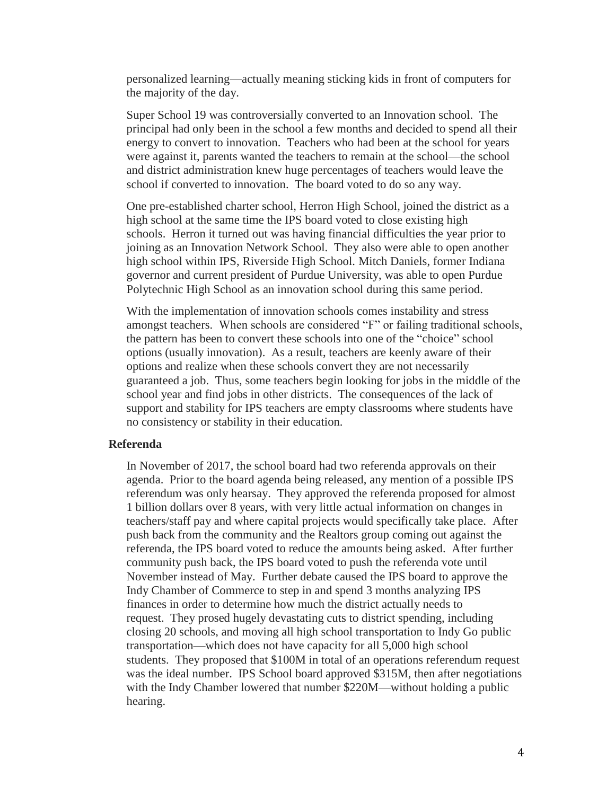personalized learning—actually meaning sticking kids in front of computers for the majority of the day.

Super School 19 was controversially converted to an Innovation school. The principal had only been in the school a few months and decided to spend all their energy to convert to innovation. Teachers who had been at the school for years were against it, parents wanted the teachers to remain at the school—the school and district administration knew huge percentages of teachers would leave the school if converted to innovation. The board voted to do so any way.

One pre-established charter school, Herron High School, joined the district as a high school at the same time the IPS board voted to close existing high schools. Herron it turned out was having financial difficulties the year prior to joining as an Innovation Network School. They also were able to open another high school within IPS, Riverside High School. Mitch Daniels, former Indiana governor and current president of Purdue University, was able to open Purdue Polytechnic High School as an innovation school during this same period.

With the implementation of innovation schools comes instability and stress amongst teachers. When schools are considered "F" or failing traditional schools, the pattern has been to convert these schools into one of the "choice" school options (usually innovation). As a result, teachers are keenly aware of their options and realize when these schools convert they are not necessarily guaranteed a job. Thus, some teachers begin looking for jobs in the middle of the school year and find jobs in other districts. The consequences of the lack of support and stability for IPS teachers are empty classrooms where students have no consistency or stability in their education.

#### **Referenda**

In November of 2017, the school board had two referenda approvals on their agenda. Prior to the board agenda being released, any mention of a possible IPS referendum was only hearsay. They approved the referenda proposed for almost 1 billion dollars over 8 years, with very little actual information on changes in teachers/staff pay and where capital projects would specifically take place. After push back from the community and the Realtors group coming out against the referenda, the IPS board voted to reduce the amounts being asked. After further community push back, the IPS board voted to push the referenda vote until November instead of May. Further debate caused the IPS board to approve the Indy Chamber of Commerce to step in and spend 3 months analyzing IPS finances in order to determine how much the district actually needs to request. They prosed hugely devastating cuts to district spending, including closing 20 schools, and moving all high school transportation to Indy Go public transportation—which does not have capacity for all 5,000 high school students. They proposed that \$100M in total of an operations referendum request was the ideal number. IPS School board approved \$315M, then after negotiations with the Indy Chamber lowered that number \$220M—without holding a public hearing.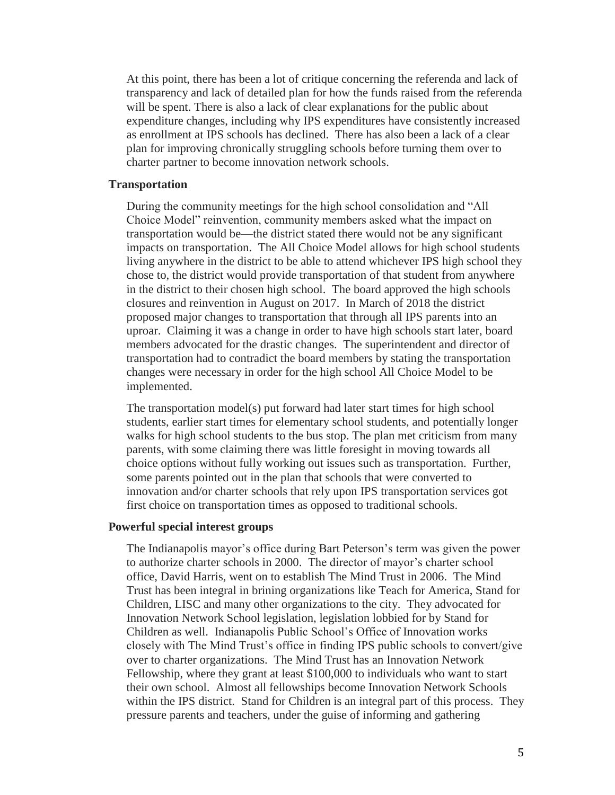At this point, there has been a lot of critique concerning the referenda and lack of transparency and lack of detailed plan for how the funds raised from the referenda will be spent. There is also a lack of clear explanations for the public about expenditure changes, including why IPS expenditures have consistently increased as enrollment at IPS schools has declined. There has also been a lack of a clear plan for improving chronically struggling schools before turning them over to charter partner to become innovation network schools.

#### **Transportation**

During the community meetings for the high school consolidation and "All Choice Model" reinvention, community members asked what the impact on transportation would be—the district stated there would not be any significant impacts on transportation. The All Choice Model allows for high school students living anywhere in the district to be able to attend whichever IPS high school they chose to, the district would provide transportation of that student from anywhere in the district to their chosen high school. The board approved the high schools closures and reinvention in August on 2017. In March of 2018 the district proposed major changes to transportation that through all IPS parents into an uproar. Claiming it was a change in order to have high schools start later, board members advocated for the drastic changes. The superintendent and director of transportation had to contradict the board members by stating the transportation changes were necessary in order for the high school All Choice Model to be implemented.

The transportation model(s) put forward had later start times for high school students, earlier start times for elementary school students, and potentially longer walks for high school students to the bus stop. The plan met criticism from many parents, with some claiming there was little foresight in moving towards all choice options without fully working out issues such as transportation. Further, some parents pointed out in the plan that schools that were converted to innovation and/or charter schools that rely upon IPS transportation services got first choice on transportation times as opposed to traditional schools.

#### **Powerful special interest groups**

The Indianapolis mayor's office during Bart Peterson's term was given the power to authorize charter schools in 2000. The director of mayor's charter school office, David Harris, went on to establish The Mind Trust in 2006. The Mind Trust has been integral in brining organizations like Teach for America, Stand for Children, LISC and many other organizations to the city. They advocated for Innovation Network School legislation, legislation lobbied for by Stand for Children as well. Indianapolis Public School's Office of Innovation works closely with The Mind Trust's office in finding IPS public schools to convert/give over to charter organizations. The Mind Trust has an Innovation Network Fellowship, where they grant at least \$100,000 to individuals who want to start their own school. Almost all fellowships become Innovation Network Schools within the IPS district. Stand for Children is an integral part of this process. They pressure parents and teachers, under the guise of informing and gathering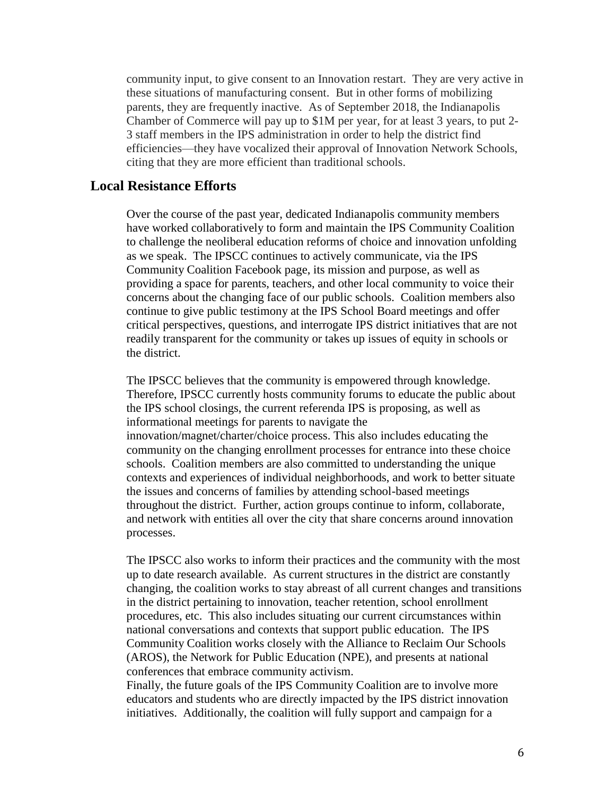community input, to give consent to an Innovation restart. They are very active in these situations of manufacturing consent. But in other forms of mobilizing parents, they are frequently inactive. As of September 2018, the Indianapolis Chamber of Commerce will pay up to \$1M per year, for at least 3 years, to put 2- 3 staff members in the IPS administration in order to help the district find efficiencies—they have vocalized their approval of Innovation Network Schools, citing that they are more efficient than traditional schools.

## **Local Resistance Efforts**

Over the course of the past year, dedicated Indianapolis community members have worked collaboratively to form and maintain the IPS Community Coalition to challenge the neoliberal education reforms of choice and innovation unfolding as we speak. The IPSCC continues to actively communicate, via the IPS Community Coalition Facebook page, its mission and purpose, as well as providing a space for parents, teachers, and other local community to voice their concerns about the changing face of our public schools. Coalition members also continue to give public testimony at the IPS School Board meetings and offer critical perspectives, questions, and interrogate IPS district initiatives that are not readily transparent for the community or takes up issues of equity in schools or the district.

The IPSCC believes that the community is empowered through knowledge. Therefore, IPSCC currently hosts community forums to educate the public about the IPS school closings, the current referenda IPS is proposing, as well as informational meetings for parents to navigate the innovation/magnet/charter/choice process. This also includes educating the community on the changing enrollment processes for entrance into these choice schools. Coalition members are also committed to understanding the unique contexts and experiences of individual neighborhoods, and work to better situate the issues and concerns of families by attending school-based meetings throughout the district. Further, action groups continue to inform, collaborate, and network with entities all over the city that share concerns around innovation processes.

The IPSCC also works to inform their practices and the community with the most up to date research available. As current structures in the district are constantly changing, the coalition works to stay abreast of all current changes and transitions in the district pertaining to innovation, teacher retention, school enrollment procedures, etc. This also includes situating our current circumstances within national conversations and contexts that support public education. The IPS Community Coalition works closely with the Alliance to Reclaim Our Schools (AROS), the Network for Public Education (NPE), and presents at national conferences that embrace community activism.

Finally, the future goals of the IPS Community Coalition are to involve more educators and students who are directly impacted by the IPS district innovation initiatives. Additionally, the coalition will fully support and campaign for a